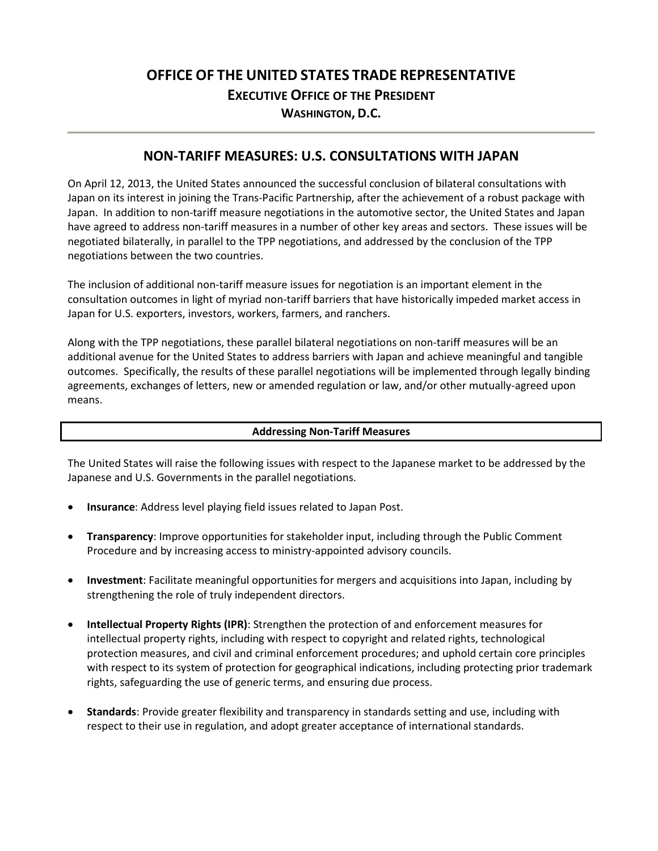# **OFFICE OF THE UNITED STATES TRADE REPRESENTATIVE EXECUTIVE OFFICE OF THE PRESIDENT WASHINGTON, D.C.**

### **NON-TARIFF MEASURES: U.S. CONSULTATIONS WITH JAPAN**

On April 12, 2013, the United States announced the successful conclusion of bilateral consultations with Japan on its interest in joining the Trans-Pacific Partnership, after the achievement of a robust package with Japan. In addition to non-tariff measure negotiations in the automotive sector, the United States and Japan have agreed to address non-tariff measures in a number of other key areas and sectors. These issues will be negotiated bilaterally, in parallel to the TPP negotiations, and addressed by the conclusion of the TPP negotiations between the two countries.

The inclusion of additional non-tariff measure issues for negotiation is an important element in the consultation outcomes in light of myriad non-tariff barriers that have historically impeded market access in Japan for U.S. exporters, investors, workers, farmers, and ranchers.

Along with the TPP negotiations, these parallel bilateral negotiations on non-tariff measures will be an additional avenue for the United States to address barriers with Japan and achieve meaningful and tangible outcomes. Specifically, the results of these parallel negotiations will be implemented through legally binding agreements, exchanges of letters, new or amended regulation or law, and/or other mutually-agreed upon means.

#### **Addressing Non-Tariff Measures**

The United States will raise the following issues with respect to the Japanese market to be addressed by the Japanese and U.S. Governments in the parallel negotiations.

- **Insurance**: Address level playing field issues related to Japan Post.
- **Transparency**: Improve opportunities for stakeholder input, including through the Public Comment Procedure and by increasing access to ministry-appointed advisory councils.
- **Investment**: Facilitate meaningful opportunities for mergers and acquisitions into Japan, including by strengthening the role of truly independent directors.
- **Intellectual Property Rights (IPR)**: Strengthen the protection of and enforcement measures for intellectual property rights, including with respect to copyright and related rights, technological protection measures, and civil and criminal enforcement procedures; and uphold certain core principles with respect to its system of protection for geographical indications, including protecting prior trademark rights, safeguarding the use of generic terms, and ensuring due process.
- **Standards**: Provide greater flexibility and transparency in standards setting and use, including with respect to their use in regulation, and adopt greater acceptance of international standards.